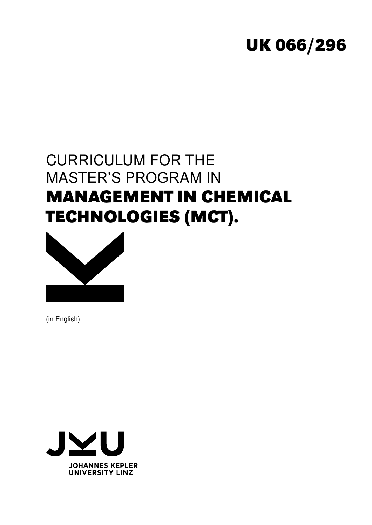# **UK 066/296**

# CURRICULUM FOR THE MASTER'S PROGRAM IN **MANAGEMENT IN CHEMICAL TECHNOLOGIES (MCT).**



(in English)

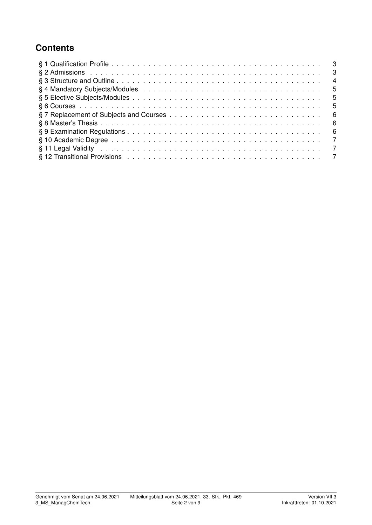## **Contents**

| - 3            |     |
|----------------|-----|
|                | -4  |
| - 5            |     |
|                | -5  |
|                | - 5 |
| - 6            |     |
| - 6            |     |
| - 6            |     |
| $\overline{7}$ |     |
| $\overline{7}$ |     |
|                |     |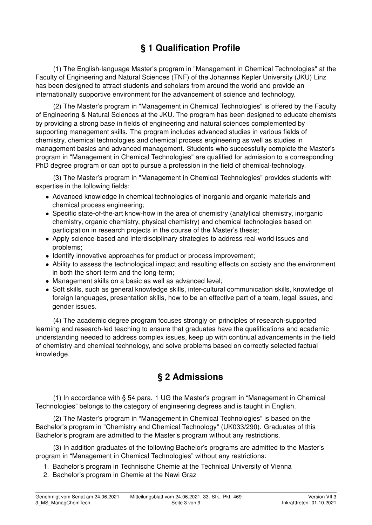## § 1 Qualification Profile

(1) The English-language Master's program in "Management in Chemical Technologies" at the Faculty of Engineering and Natural Sciences (TNF) of the Johannes Kepler University (JKU) Linz has been designed to attract students and scholars from around the world and provide an internationally supportive environment for the advancement of science and technology.

(2) The Master's program in "Management in Chemical Technologies" is offered by the Faculty of Engineering & Natural Sciences at the JKU. The program has been designed to educate chemists by providing a strong base in fields of engineering and natural sciences complemented by supporting management skills. The program includes advanced studies in various fields of chemistry, chemical technologies and chemical process engineering as well as studies in management basics and advanced management. Students who successfully complete the Master's program in "Management in Chemical Technologies" are qualified for admission to a corresponding PhD degree program or can opt to pursue a profession in the field of chemical-technology.

(3) The Master's program in "Management in Chemical Technologies" provides students with expertise in the following fields:

- Advanced knowledge in chemical technologies of inorganic and organic materials and chemical process engineering;
- Specific state-of-the-art know-how in the area of chemistry (analytical chemistry, inorganic chemistry, organic chemistry, physical chemistry) and chemical technologies based on participation in research projects in the course of the Master's thesis;
- Apply science-based and interdisciplinary strategies to address real-world issues and problems;
- Identify innovative approaches for product or process improvement;
- Ability to assess the technological impact and resulting effects on society and the environment in both the short-term and the long-term;
- Management skills on a basic as well as advanced level;
- Soft skills, such as general knowledge skills, inter-cultural communication skills, knowledge of foreign languages, presentation skills, how to be an effective part of a team, legal issues, and gender issues.

(4) The academic degree program focuses strongly on principles of research-supported learning and research-led teaching to ensure that graduates have the qualifications and academic understanding needed to address complex issues, keep up with continual advancements in the field of chemistry and chemical technology, and solve problems based on correctly selected factual knowledge.

#### § 2 Admissions

(1) In accordance with § 54 para. 1 UG the Master's program in "Management in Chemical Technologies" belongs to the category of engineering degrees and is taught in English.

(2) The Master's program in "Management in Chemical Technologies" is based on the Bachelor's program in "Chemistry and Chemical Technology" (UK033/290). Graduates of this Bachelor's program are admitted to the Master's program without any restrictions.

(3) In addition graduates of the following Bachelor's programs are admitted to the Master's program in "Management in Chemical Technologies" without any restrictions:

1. Bachelor's program in Technische Chemie at the Technical University of Vienna

2. Bachelor's program in Chemie at the Nawi Graz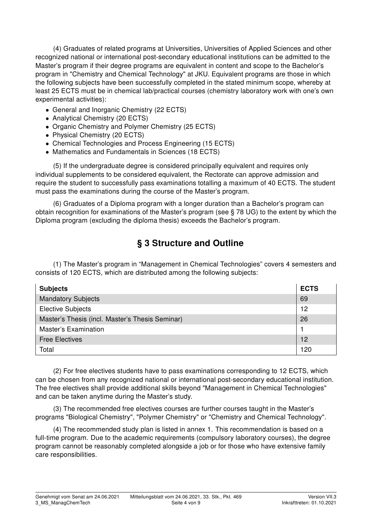(4) Graduates of related programs at Universities, Universities of Applied Sciences and other recognized national or international post-secondary educational institutions can be admitted to the Master's program if their degree programs are equivalent in content and scope to the Bachelor's program in "Chemistry and Chemical Technology" at JKU. Equivalent programs are those in which the following subjects have been successfully completed in the stated minimum scope, whereby at least 25 ECTS must be in chemical lab/practical courses (chemistry laboratory work with one's own experimental activities):

- General and Inorganic Chemistry (22 ECTS)
- Analytical Chemistry (20 ECTS)
- Organic Chemistry and Polymer Chemistry (25 ECTS)
- Physical Chemistry (20 ECTS)
- Chemical Technologies and Process Engineering (15 ECTS)
- Mathematics and Fundamentals in Sciences (18 ECTS)

(5) If the undergraduate degree is considered principally equivalent and requires only individual supplements to be considered equivalent, the Rectorate can approve admission and require the student to successfully pass examinations totalling a maximum of 40 ECTS. The student must pass the examinations during the course of the Master's program.

(6) Graduates of a Diploma program with a longer duration than a Bachelor's program can obtain recognition for examinations of the Master's program (see § 78 UG) to the extent by which the Diploma program (excluding the diploma thesis) exceeds the Bachelor's program.

## § 3 Structure and Outline

(1) The Master's program in "Management in Chemical Technologies" covers 4 semesters and consists of 120 ECTS, which are distributed among the following subjects:

| <b>Subjects</b>                                 | <b>ECTS</b> |
|-------------------------------------------------|-------------|
| <b>Mandatory Subjects</b>                       | 69          |
| <b>Elective Subjects</b>                        | $12 \,$     |
| Master's Thesis (incl. Master's Thesis Seminar) | 26          |
| Master's Examination                            |             |
| <b>Free Electives</b>                           | 12          |
| Total                                           | 120         |

(2) For free electives students have to pass examinations corresponding to 12 ECTS, which can be chosen from any recognized national or international post-secondary educational institution. The free electives shall provide additional skills beyond "Management in Chemical Technologies" and can be taken anytime during the Master's study.

(3) The recommended free electives courses are further courses taught in the Master's programs "Biological Chemistry", "Polymer Chemistry" or "Chemistry and Chemical Technology".

(4) The recommended study plan is listed in annex 1. This recommendation is based on a full-time program. Due to the academic requirements (compulsory laboratory courses), the degree program cannot be reasonably completed alongside a job or for those who have extensive family care responsibilities.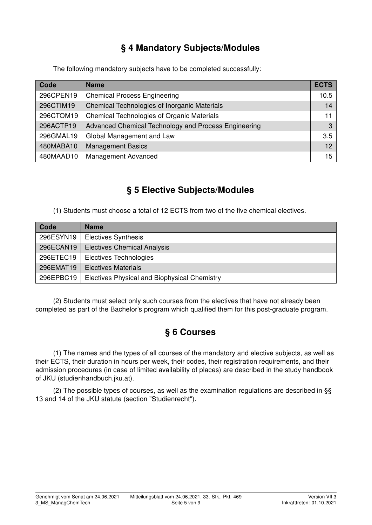## § 4 Mandatory Subjects/Modules

The following mandatory subjects have to be completed successfully:

| Code      | <b>Name</b>                                          | <b>ECTS</b> |
|-----------|------------------------------------------------------|-------------|
| 296CPEN19 | <b>Chemical Process Engineering</b>                  | 10.5        |
| 296CTIM19 | Chemical Technologies of Inorganic Materials         | 14          |
| 296CTOM19 | Chemical Technologies of Organic Materials           | 11          |
| 296ACTP19 | Advanced Chemical Technology and Process Engineering | $3 -$       |
| 296GMAL19 | Global Management and Law                            | 3.5         |
| 480MABA10 | <b>Management Basics</b>                             | 12          |
| 480MAAD10 | <b>Management Advanced</b>                           | 15          |

## § 5 Elective Subjects/Modules

(1) Students must choose a total of 12 ECTS from two of the five chemical electives.

| Code      | <b>Name</b>                                  |
|-----------|----------------------------------------------|
| 296ESYN19 | <b>Electives Synthesis</b>                   |
| 296ECAN19 | <b>Electives Chemical Analysis</b>           |
| 296ETEC19 | Electives Technologies                       |
| 296EMAT19 | <b>Electives Materials</b>                   |
| 296EPBC19 | Electives Physical and Biophysical Chemistry |

(2) Students must select only such courses from the electives that have not already been completed as part of the Bachelor's program which qualified them for this post-graduate program.

## § 6 Courses

(1) The names and the types of all courses of the mandatory and elective subjects, as well as their ECTS, their duration in hours per week, their codes, their registration requirements, and their admission procedures (in case of limited availability of places) are described in the study handbook of JKU (studienhandbuch.jku.at).

(2) The possible types of courses, as well as the examination regulations are described in §§ 13 and 14 of the JKU statute (section "Studienrecht").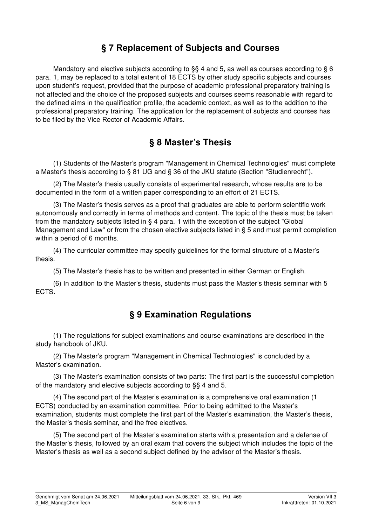### § 7 Replacement of Subjects and Courses

Mandatory and elective subjects according to §§ 4 and 5, as well as courses according to § 6 para. 1, may be replaced to a total extent of 18 ECTS by other study specific subjects and courses upon student's request, provided that the purpose of academic professional preparatory training is not affected and the choice of the proposed subjects and courses seems reasonable with regard to the defined aims in the qualification profile, the academic context, as well as to the addition to the professional preparatory training. The application for the replacement of subjects and courses has to be filed by the Vice Rector of Academic Affairs.

### § 8 Master's Thesis

(1) Students of the Master's program "Management in Chemical Technologies" must complete a Master's thesis according to § 81 UG and § 36 of the JKU statute (Section "Studienrecht").

(2) The Master's thesis usually consists of experimental research, whose results are to be documented in the form of a written paper corresponding to an effort of 21 ECTS.

(3) The Master's thesis serves as a proof that graduates are able to perform scientific work autonomously and correctly in terms of methods and content. The topic of the thesis must be taken from the mandatory subjects listed in § 4 para. 1 with the exception of the subject "Global Management and Law" or from the chosen elective subjects listed in § 5 and must permit completion within a period of 6 months.

(4) The curricular committee may specify guidelines for the formal structure of a Master's thesis.

(5) The Master's thesis has to be written and presented in either German or English.

(6) In addition to the Master's thesis, students must pass the Master's thesis seminar with 5 ECTS.

### § 9 Examination Regulations

(1) The regulations for subject examinations and course examinations are described in the study handbook of JKU.

(2) The Master's program "Management in Chemical Technologies" is concluded by a Master's examination.

(3) The Master's examination consists of two parts: The first part is the successful completion of the mandatory and elective subjects according to §§ 4 and 5.

(4) The second part of the Master's examination is a comprehensive oral examination (1 ECTS) conducted by an examination committee. Prior to being admitted to the Master's examination, students must complete the first part of the Master's examination, the Master's thesis, the Master's thesis seminar, and the free electives.

(5) The second part of the Master's examination starts with a presentation and a defense of the Master's thesis, followed by an oral exam that covers the subject which includes the topic of the Master's thesis as well as a second subject defined by the advisor of the Master's thesis.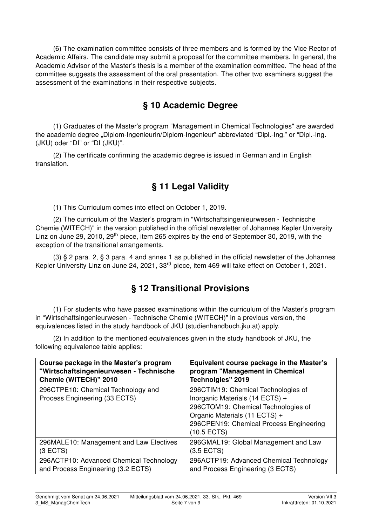(6) The examination committee consists of three members and is formed by the Vice Rector of Academic Affairs. The candidate may submit a proposal for the committee members. In general, the Academic Advisor of the Master's thesis is a member of the examination committee. The head of the committee suggests the assessment of the oral presentation. The other two examiners suggest the assessment of the examinations in their respective subjects.

### § 10 Academic Degree

(1) Graduates of the Master's program "Management in Chemical Technologies" are awarded the academic degree "Diplom-Ingenieurin/Diplom-Ingenieur" abbreviated "Dipl.-Ing." or "Dipl.-Ing. (JKU) oder "DI" or "DI (JKU)".

(2) The certificate confirming the academic degree is issued in German and in English translation.

### § 11 Legal Validity

(1) This Curriculum comes into effect on October 1, 2019.

(2) The curriculum of the Master's program in "Wirtschaftsingenieurwesen - Technische Chemie (WITECH)" in the version published in the official newsletter of Johannes Kepler University Linz on June 29, 2010, 29<sup>th</sup> piece, item 265 expires by the end of September 30, 2019, with the exception of the transitional arrangements.

(3) § 2 para. 2, § 3 para. 4 and annex 1 as published in the official newsletter of the Johannes Kepler University Linz on June 24, 2021, 33rd piece, item 469 will take effect on October 1, 2021.

### § 12 Transitional Provisions

(1) For students who have passed examinations within the curriculum of the Master's program in "Wirtschaftsingenieurwesen - Technische Chemie (WITECH)" in a previous version, the equivalences listed in the study handbook of JKU (studienhandbuch.jku.at) apply.

(2) In addition to the mentioned equivalences given in the study handbook of JKU, the following equivalence table applies:

| Course package in the Master's program                              | Equivalent course package in the Master's                                                                                                                                                                |
|---------------------------------------------------------------------|----------------------------------------------------------------------------------------------------------------------------------------------------------------------------------------------------------|
| "Wirtschaftsingenieurwesen - Technische                             | program "Management in Chemical                                                                                                                                                                          |
| Chemie (WITECH)" 2010                                               | Technolgies" 2019                                                                                                                                                                                        |
| 296CTPE10: Chemical Technology and<br>Process Engineering (33 ECTS) | 296CTIM19: Chemical Technologies of<br>Inorganic Materials (14 ECTS) +<br>296CTOM19: Chemical Technologies of<br>Organic Materials (11 ECTS) +<br>296CPEN19: Chemical Process Engineering<br>(10.5 ECTS) |
| 296MALE10: Management and Law Electives                             | 296GMAL19: Global Management and Law                                                                                                                                                                     |
| (3 ECTS)                                                            | (3.5 ECTS)                                                                                                                                                                                               |
| 296ACTP10: Advanced Chemical Technology                             | 296ACTP19: Advanced Chemical Technology                                                                                                                                                                  |
| and Process Engineering (3.2 ECTS)                                  | and Process Engineering (3 ECTS)                                                                                                                                                                         |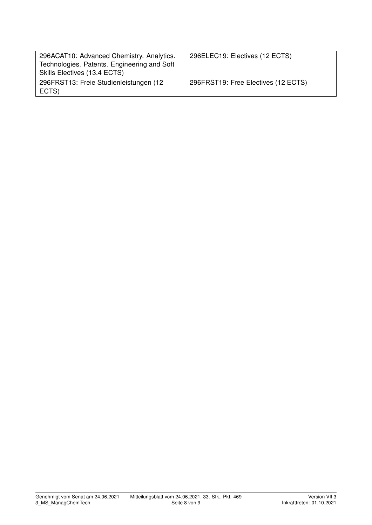| 296ACAT10: Advanced Chemistry. Analytics.<br>Technologies. Patents. Engineering and Soft<br>Skills Electives (13.4 ECTS) | 296ELEC19: Electives (12 ECTS)      |
|--------------------------------------------------------------------------------------------------------------------------|-------------------------------------|
| 296FRST13: Freie Studienleistungen (12<br>ECTS)                                                                          | 296FRST19: Free Electives (12 ECTS) |